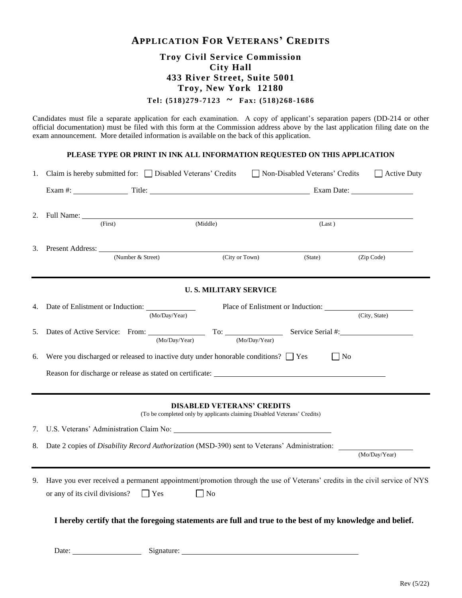# **APPLICATION FOR VETERANS' CREDITS**

## **Troy Civil Service Commission City Hall 433 River Street, Suite 5001 Troy, New York 12180**

**Tel: (518)279-7123 ~ Fax: (518)268-1686**

Candidates must file a separate application for each examination. A copy of applicant's separation papers (DD-214 or other official documentation) must be filed with this form at the Commission address above by the last application filing date on the exam announcement. More detailed information is available on the back of this application.

#### **PLEASE TYPE OR PRINT IN INK ALL INFORMATION REQUESTED ON THIS APPLICATION**

| 1. | Claim is hereby submitted for: $\Box$ Disabled Veterans' Credits                                                                                                                                                               |               |                                                                                                               | Non-Disabled Veterans' Credits | $\Box$ Active Duty |  |
|----|--------------------------------------------------------------------------------------------------------------------------------------------------------------------------------------------------------------------------------|---------------|---------------------------------------------------------------------------------------------------------------|--------------------------------|--------------------|--|
|    | Exam #: Title: Title: Title: Exam Date: Exam Date:                                                                                                                                                                             |               |                                                                                                               |                                |                    |  |
| 2. | (First)                                                                                                                                                                                                                        |               | (Middle)                                                                                                      | (Last)                         |                    |  |
|    | 3. Present Address: $\frac{(\text{Number & Street})}{(\text{Number } k \text{ Street})}$                                                                                                                                       |               | (City or Town)                                                                                                | (State)                        | (Zip Code)         |  |
|    |                                                                                                                                                                                                                                |               | <b>U.S. MILITARY SERVICE</b>                                                                                  |                                |                    |  |
| 4. |                                                                                                                                                                                                                                | (Mo/Day/Year) |                                                                                                               |                                | (City, State)      |  |
| 5. | Dates of Active Service: From: To: Service Serial #:                                                                                                                                                                           | (Mo/Day/Year) | (Mo/Day/Year)                                                                                                 |                                |                    |  |
| 6. | Were you discharged or released to inactive duty under honorable conditions? $\Box$ Yes<br>$\Box$ No                                                                                                                           |               |                                                                                                               |                                |                    |  |
|    |                                                                                                                                                                                                                                |               |                                                                                                               |                                |                    |  |
|    |                                                                                                                                                                                                                                |               | <b>DISABLED VETERANS' CREDITS</b><br>(To be completed only by applicants claiming Disabled Veterans' Credits) |                                |                    |  |
| 7. |                                                                                                                                                                                                                                |               |                                                                                                               |                                |                    |  |
| 8. | Date 2 copies of <i>Disability Record Authorization</i> (MSD-390) sent to Veterans' Administration:                                                                                                                            |               |                                                                                                               |                                |                    |  |
|    |                                                                                                                                                                                                                                |               |                                                                                                               | (Mo/Day/Year)                  |                    |  |
| 9. | Have you ever received a permanent appointment/promotion through the use of Veterans' credits in the civil service of NYS<br>or any of its civil divisions?<br>$\Box$ Yes<br>$\Box$ No                                         |               |                                                                                                               |                                |                    |  |
|    | I hereby certify that the foregoing statements are full and true to the best of my knowledge and belief.                                                                                                                       |               |                                                                                                               |                                |                    |  |
|    | Date: Signature: Signature: Signature: Signature: Signature: Signature: Signature: Signature: Signature: Signature: Signature: Signature: Signature: Signature: Signature: Signature: Signature: Signature: Signature: Signatu |               |                                                                                                               |                                |                    |  |